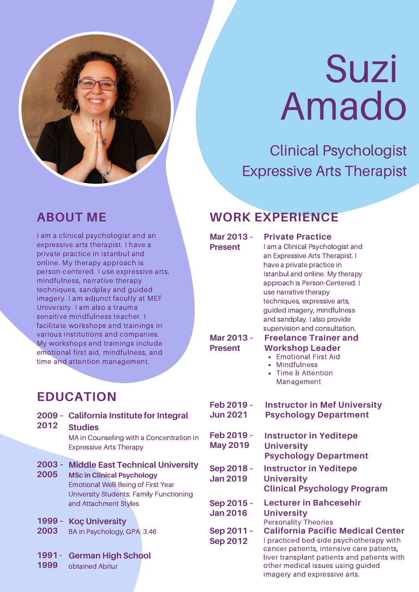

# Suzi Amado

Clinical Psychologist Expressive Arts Therapist

I am a clinical psychologist and an expressive arts therapist. I have a private practice in Istanbul and online. My therapy approach is person-centered. I use expressive arts, mindfulness, narrative therapy techniques, sandplay and guided imagery. I am adjunct faculty at MEF University. I am also a trauma sensitive mindfulness teacher. I facilitate workshops and trainings in various institutions and companies. My workshops and trainings include emotional first aid, mindfulness, and time and attention management.

#### **ABOUT ME WORK EXPERIENCE**

have a private practice in Istanbul and online. My therapy approach is Person-Centered. I use narrative therapy techniques, expressive arts, guided imagery, mindfulness and sandplay. I also provide supervision and consultation. **Mar 2013 – Present**

**Mar 2013 – Present**

#### **Freelance Trainer and Workshop Leader**

**Instructor in Mef University Psychology Department**

- Emotional First Aid
- Mindfulness

**Private Practice**

I am a Clinical Psychologist and an Expressive Arts Therapist. I

Time & Attention Management

### **EDUCATION**

- **2009 – California Institute for Integral**
- **2012 Studies** MA in Counseling with a Concentration in

Expressive Arts Therapy

- **2003 – Middle East Technical University**
- **2005 MSc in Clinical Psychology** Emotional Well-Being of First Year University Students: Family Functioning and Attachment Styles
- **1999 – Koç University**
- **2003** BA in Psychology, GPA: 3.46

#### **1991 - German High School**

**1999** obtained Abitur

- **Feb 2019 – May 2019 Instructor in Yeditepe University Psychology Department**
- **Sep 2018 – Jan 2019 Instructor in Yeditepe University Clinical Psychology Program**
- **Sep 2015 – Jan 2016 Lecturer in Bahcesehir University** Personality Theories
- **Sep 2011 – Sep 2012**

**Feb 2019 – Jun 2021**

**California Pacific Medical Center**

I practiced bed-side psychotherapy with cancer patients, intensive care patients, liver transplant patients and patients with other medical issues using guided imagery and expressive arts.